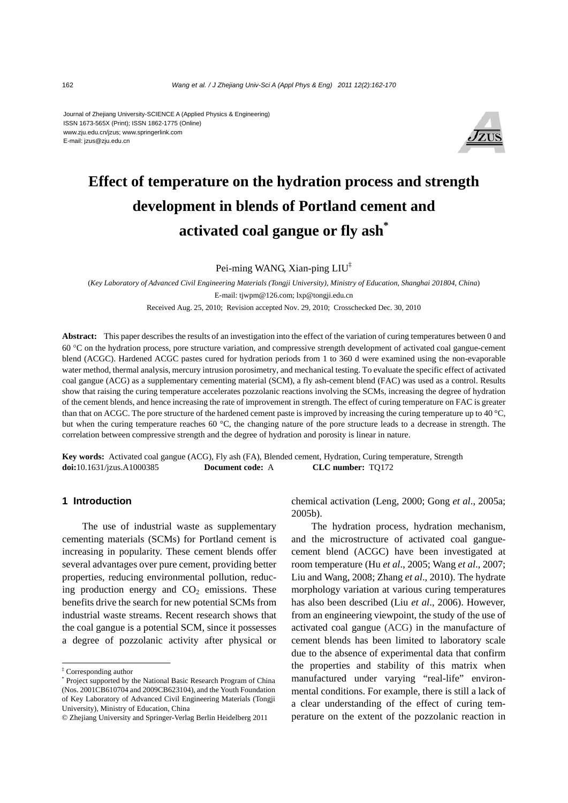#### Journal of Zhejiang University-SCIENCE A (Applied Physics & Engineering) ISSN 1673-565X (Print); ISSN 1862-1775 (Online) www.zju.edu.cn/jzus; www.springerlink.com E-mail: jzus@zju.edu.cn



# **Effect of temperature on the hydration process and strength development in blends of Portland cement and activated coal gangue or fly ash\***

Pei-ming WANG, Xian-ping LIU<sup>‡</sup>

(*Key Laboratory of Advanced Civil Engineering Materials (Tongji University), Ministry of Education, Shanghai 201804, China*) E-mail: tjwpm@126.com; lxp@tongji.edu.cn Received Aug. 25, 2010; Revision accepted Nov. 29, 2010; Crosschecked Dec. 30, 2010

**Abstract:** This paper describes the results of an investigation into the effect of the variation of curing temperatures between 0 and 60 °C on the hydration process, pore structure variation, and compressive strength development of activated coal gangue-cement blend (ACGC). Hardened ACGC pastes cured for hydration periods from 1 to 360 d were examined using the non-evaporable water method, thermal analysis, mercury intrusion porosimetry, and mechanical testing. To evaluate the specific effect of activated coal gangue (ACG) as a supplementary cementing material (SCM), a fly ash-cement blend (FAC) was used as a control. Results show that raising the curing temperature accelerates pozzolanic reactions involving the SCMs, increasing the degree of hydration of the cement blends, and hence increasing the rate of improvement in strength. The effect of curing temperature on FAC is greater than that on ACGC. The pore structure of the hardened cement paste is improved by increasing the curing temperature up to 40 °C, but when the curing temperature reaches 60 °C, the changing nature of the pore structure leads to a decrease in strength. The correlation between compressive strength and the degree of hydration and porosity is linear in nature.

**Key words:** Activated coal gangue (ACG), Fly ash (FA), Blended cement, Hydration, Curing temperature, Strength **doi:**10.1631/jzus.A1000385 **Document code:** A **CLC number:** TQ172

### **1 Introduction**

The use of industrial waste as supplementary cementing materials (SCMs) for Portland cement is increasing in popularity. These cement blends offer several advantages over pure cement, providing better properties, reducing environmental pollution, reducing production energy and  $CO<sub>2</sub>$  emissions. These benefits drive the search for new potential SCMs from industrial waste streams. Recent research shows that the coal gangue is a potential SCM, since it possesses a degree of pozzolanic activity after physical or

chemical activation (Leng, 2000; Gong *et al*., 2005a; 2005b).

The hydration process, hydration mechanism, and the microstructure of activated coal ganguecement blend (ACGC) have been investigated at room temperature (Hu *et al*., 2005; Wang *et al*., 2007; Liu and Wang, 2008; Zhang *et al*., 2010). The hydrate morphology variation at various curing temperatures has also been described (Liu *et al*., 2006). However, from an engineering viewpoint, the study of the use of activated coal gangue (ACG) in the manufacture of cement blends has been limited to laboratory scale due to the absence of experimental data that confirm the properties and stability of this matrix when manufactured under varying "real-life" environmental conditions. For example, there is still a lack of a clear understanding of the effect of curing temperature on the extent of the pozzolanic reaction in

<sup>‡</sup> Corresponding author

<sup>\*</sup> Project supported by the National Basic Research Program of China (Nos. 2001CB610704 and 2009CB623104), and the Youth Foundation of Key Laboratory of Advanced Civil Engineering Materials (Tongji University), Ministry of Education, China

<sup>©</sup> Zheijang University and Springer-Verlag Berlin Heidelberg 2011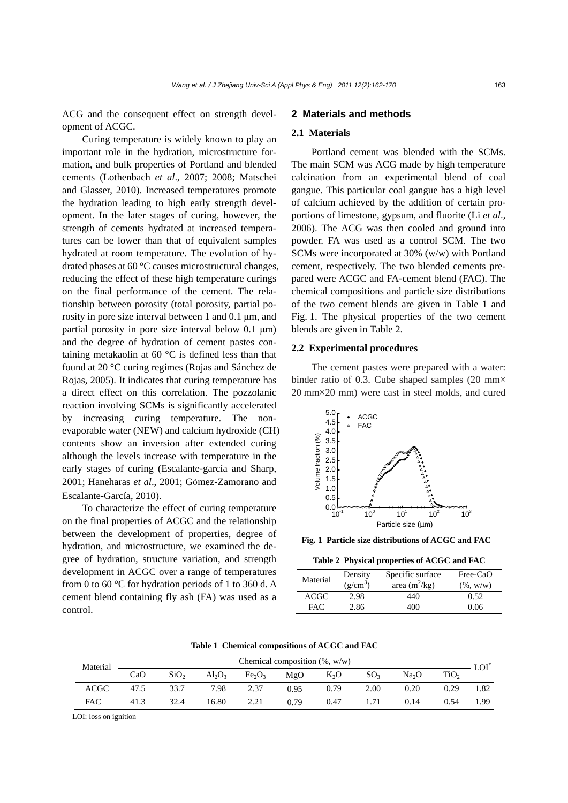ACG and the consequent effect on strength development of ACGC.

Curing temperature is widely known to play an important role in the hydration, microstructure formation, and bulk properties of Portland and blended cements (Lothenbach *et al*., 2007; 2008; Matschei and Glasser, 2010). Increased temperatures promote the hydration leading to high early strength development. In the later stages of curing, however, the strength of cements hydrated at increased temperatures can be lower than that of equivalent samples hydrated at room temperature. The evolution of hydrated phases at 60 °C causes microstructural changes, reducing the effect of these high temperature curings on the final performance of the cement. The relationship between porosity (total porosity, partial porosity in pore size interval between 1 and 0.1 μm, and partial porosity in pore size interval below 0.1 μm) and the degree of hydration of cement pastes containing metakaolin at 60 °C is defined less than that found at 20 °C curing regimes (Rojas and Sánchez de Rojas, 2005). It indicates that curing temperature has a direct effect on this correlation. The pozzolanic reaction involving SCMs is significantly accelerated by increasing curing temperature. The nonevaporable water (NEW) and calcium hydroxide (CH) contents show an inversion after extended curing although the levels increase with temperature in the early stages of curing (Escalante-garcía and Sharp, 2001; Haneharas *et al*., 2001; Gómez-Zamorano and Escalante-García, 2010).

To characterize the effect of curing temperature on the final properties of ACGC and the relationship between the development of properties, degree of hydration, and microstructure, we examined the degree of hydration, structure variation, and strength development in ACGC over a range of temperatures from 0 to 60 °C for hydration periods of 1 to 360 d. A cement blend containing fly ash (FA) was used as a control.

### **2 Materials and methods**

#### **2.1 Materials**

Portland cement was blended with the SCMs. The main SCM was ACG made by high temperature calcination from an experimental blend of coal gangue. This particular coal gangue has a high level of calcium achieved by the addition of certain proportions of limestone, gypsum, and fluorite (Li *et al*., 2006). The ACG was then cooled and ground into powder. FA was used as a control SCM. The two SCMs were incorporated at 30% (w/w) with Portland cement, respectively. The two blended cements prepared were ACGC and FA-cement blend (FAC). The chemical compositions and particle size distributions of the two cement blends are given in Table 1 and Fig. 1. The physical properties of the two cement blends are given in Table 2.

#### **2.2 Experimental procedures**

The cement pastes were prepared with a water: binder ratio of 0.3. Cube shaped samples (20 mm× 20 mm×20 mm) were cast in steel molds, and cured



**Fig. 1 Particle size distributions of ACGC and FAC**

**Table 2 Physical properties of ACGC and FAC** 

| Material | Density    | Specific surface | Free-CaO     |  |
|----------|------------|------------------|--------------|--|
|          | $(g/cm^3)$ | area $(m^2/kg)$  | $(\%$ , w/w) |  |
| ACGC     | 2.98       | 440              | 0.52         |  |
| FAC.     | 2.86       | 400              | 0.06         |  |

**Table 1 Chemical compositions of ACGC and FAC**

| Material    | Chemical composition $(\% , w/w)$ |                  |           |                                |      |        |                 | LOI               |                  |      |
|-------------|-----------------------------------|------------------|-----------|--------------------------------|------|--------|-----------------|-------------------|------------------|------|
|             | CaO                               | SiO <sub>2</sub> | $Al_2O_3$ | Fe <sub>2</sub> O <sub>3</sub> | MgO  | $K_2O$ | SO <sub>3</sub> | Na <sub>2</sub> O | TiO <sub>2</sub> |      |
| <b>ACGC</b> | 47.5                              | 33.7             | 7.98      | 2.37                           | 0.95 | 0.79   | 2.00            | 0.20              | 0.29             | 1.82 |
| <b>FAC</b>  | 41.3                              | 32.4             | 16.80     | 2.21                           | 0.79 | 0.47   | 1.71            | 0.14              | 0.54             | 1.99 |

LOI: loss on ignition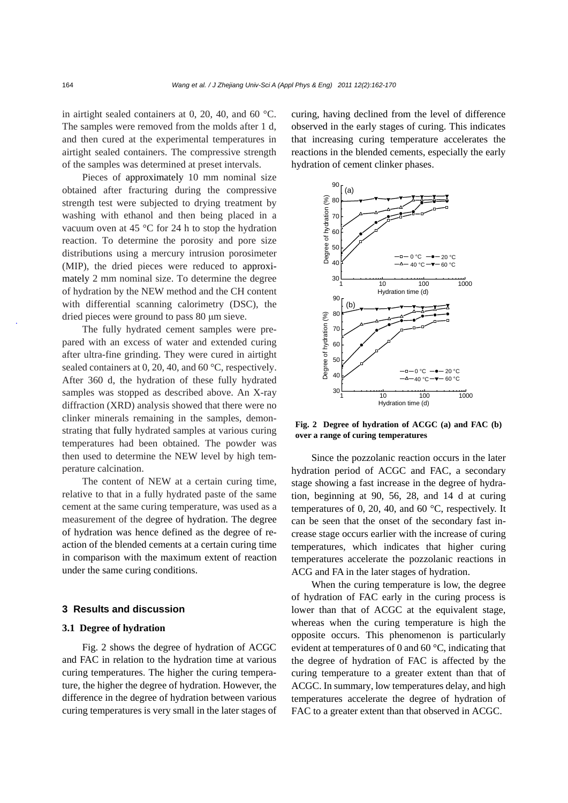in airtight sealed containers at 0, 20, 40, and 60 °C. The samples were removed from the molds after 1 d, and then cured at the experimental temperatures in airtight sealed containers. The compressive strength of the samples was determined at preset intervals.

Pieces of approximately 10 mm nominal size obtained after fracturing during the compressive strength test were subjected to drying treatment by washing with ethanol and then being placed in a vacuum oven at 45 °C for 24 h to stop the hydration reaction. To determine the porosity and pore size distributions using a mercury intrusion porosimeter (MIP), the dried pieces were reduced to approximately 2 mm nominal size. To determine the degree of hydration by the NEW method and the CH content with differential scanning calorimetry (DSC), the dried pieces were ground to pass 80 μm sieve.

The fully hydrated cement samples were prepared with an excess of water and extended curing after ultra-fine grinding. They were cured in airtight sealed containers at 0, 20, 40, and 60 °C, respectively. After 360 d, the hydration of these fully hydrated samples was stopped as described above. An X-ray diffraction (XRD) analysis showed that there were no clinker minerals remaining in the samples, demonstrating that fully hydrated samples at various curing temperatures had been obtained. The powder was then used to determine the NEW level by high temperature calcination.

The content of NEW at a certain curing time, relative to that in a fully hydrated paste of the same cement at the same curing temperature, was used as a measurement of the degree of hydration. The degree of hydration was hence defined as the degree of reaction of the blended cements at a certain curing time in comparison with the maximum extent of reaction under the same curing conditions.

## **3 Results and discussion**

#### **3.1 Degree of hydration**

Fig. 2 shows the degree of hydration of ACGC and FAC in relation to the hydration time at various curing temperatures. The higher the curing temperature, the higher the degree of hydration. However, the difference in the degree of hydration between various curing temperatures is very small in the later stages of curing, having declined from the level of difference observed in the early stages of curing. This indicates that increasing curing temperature accelerates the reactions in the blended cements, especially the early hydration of cement clinker phases.



**Fig. 2 Degree of hydration of ACGC (a) and FAC (b) over a range of curing temperatures** 

Since the pozzolanic reaction occurs in the later hydration period of ACGC and FAC, a secondary stage showing a fast increase in the degree of hydration, beginning at 90, 56, 28, and 14 d at curing temperatures of 0, 20, 40, and 60 °C, respectively. It can be seen that the onset of the secondary fast increase stage occurs earlier with the increase of curing temperatures, which indicates that higher curing temperatures accelerate the pozzolanic reactions in ACG and FA in the later stages of hydration.

When the curing temperature is low, the degree of hydration of FAC early in the curing process is lower than that of ACGC at the equivalent stage, whereas when the curing temperature is high the opposite occurs. This phenomenon is particularly evident at temperatures of 0 and 60 °C, indicating that the degree of hydration of FAC is affected by the curing temperature to a greater extent than that of ACGC. In summary, low temperatures delay, and high temperatures accelerate the degree of hydration of FAC to a greater extent than that observed in ACGC.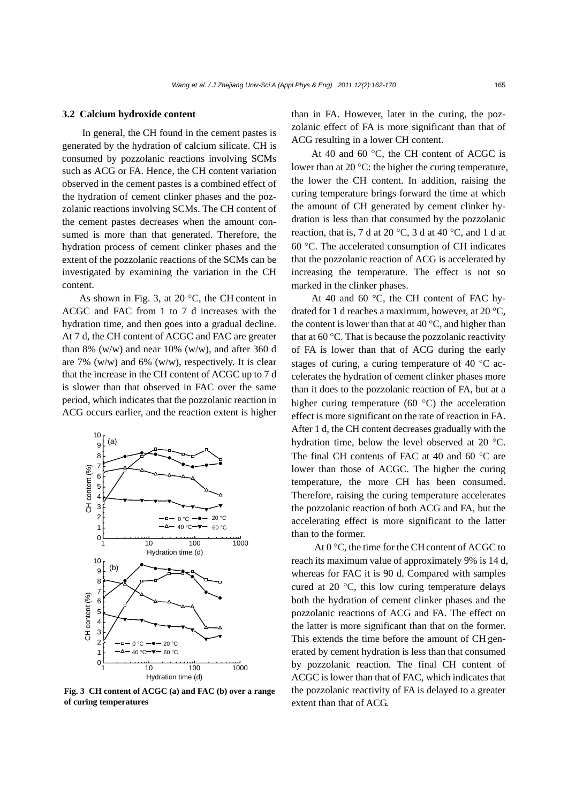#### **3.2 Calcium hydroxide content**

In general, the CH found in the cement pastes is generated by the hydration of calcium silicate. CH is consumed by pozzolanic reactions involving SCMs such as ACG or FA. Hence, the CH content variation observed in the cement pastes is a combined effect of the hydration of cement clinker phases and the pozzolanic reactions involving SCMs. The CH content of the cement pastes decreases when the amount consumed is more than that generated. Therefore, the hydration process of cement clinker phases and the extent of the pozzolanic reactions of the SCMs can be investigated by examining the variation in the CH content.

As shown in Fig. 3, at 20 $\degree$ C, the CH content in ACGC and FAC from 1 to 7 d increases with the hydration time, and then goes into a gradual decline. At 7 d, the CH content of ACGC and FAC are greater than 8% (w/w) and near 10% (w/w), and after 360 d are 7%  $(w/w)$  and 6%  $(w/w)$ , respectively. It is clear that the increase in the CH content of ACGC up to 7 d is slower than that observed in FAC over the same period, which indicates that the pozzolanic reaction in ACG occurs earlier, and the reaction extent is higher



**Fig. 3 CH content of ACGC (a) and FAC (b) over a range of curing temperatures** 

than in FA. However, later in the curing, the pozzolanic effect of FA is more significant than that of ACG resulting in a lower CH content.

At 40 and 60 °C, the CH content of ACGC is lower than at 20 °C: the higher the curing temperature, the lower the CH content. In addition, raising the curing temperature brings forward the time at which the amount of CH generated by cement clinker hydration is less than that consumed by the pozzolanic reaction, that is, 7 d at 20  $\degree$ C, 3 d at 40  $\degree$ C, and 1 d at 60 °C. The accelerated consumption of CH indicates that the pozzolanic reaction of ACG is accelerated by increasing the temperature. The effect is not so marked in the clinker phases.

At 40 and 60 °C, the CH content of FAC hydrated for 1 d reaches a maximum, however, at 20 °C, the content is lower than that at 40  $\mathrm{^{\circ}C}$ , and higher than that at 60 °C. That is because the pozzolanic reactivity of FA is lower than that of ACG during the early stages of curing, a curing temperature of 40 °C accelerates the hydration of cement clinker phases more than it does to the pozzolanic reaction of FA, but at a higher curing temperature (60 °C) the acceleration effect is more significant on the rate of reaction in FA. After 1 d, the CH content decreases gradually with the hydration time, below the level observed at 20 °C. The final CH contents of FAC at 40 and 60 °C are lower than those of ACGC. The higher the curing temperature, the more CH has been consumed. Therefore, raising the curing temperature accelerates the pozzolanic reaction of both ACG and FA, but the accelerating effect is more significant to the latter than to the former.

At 0 °C, the time for the CH content of ACGC to reach its maximum value of approximately 9% is 14 d, whereas for FAC it is 90 d. Compared with samples cured at 20 °C, this low curing temperature delays both the hydration of cement clinker phases and the pozzolanic reactions of ACG and FA. The effect on the latter is more significant than that on the former. This extends the time before the amount of CH generated by cement hydration is less than that consumed by pozzolanic reaction. The final CH content of ACGC is lower than that of FAC, which indicates that the pozzolanic reactivity of FA is delayed to a greater extent than that of ACG.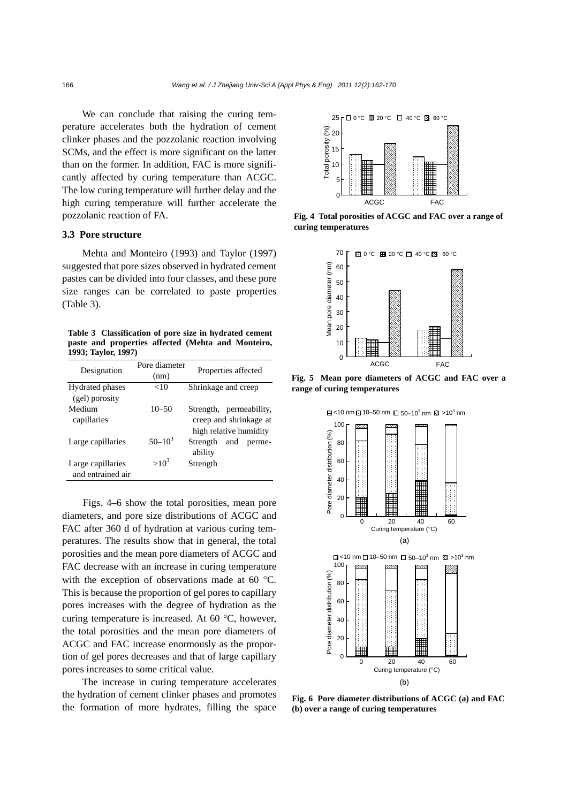We can conclude that raising the curing temperature accelerates both the hydration of cement clinker phases and the pozzolanic reaction involving SCMs, and the effect is more significant on the latter than on the former. In addition, FAC is more significantly affected by curing temperature than ACGC. The low curing temperature will further delay and the high curing temperature will further accelerate the pozzolanic reaction of FA.

## **3.3 Pore structure**

Mehta and Monteiro (1993) and Taylor (1997) suggested that pore sizes observed in hydrated cement pastes can be divided into four classes, and these pore size ranges can be correlated to paste properties (Table 3).

**Table 3 Classification of pore size in hydrated cement paste and properties affected (Mehta and Monteiro, 1993; Taylor, 1997)**

| Designation                              | Pore diameter<br>(nm) | Properties affected                                                            |
|------------------------------------------|-----------------------|--------------------------------------------------------------------------------|
| <b>Hydrated phases</b><br>(gel) porosity | ${<}10$               | Shrinkage and creep                                                            |
| Medium<br>capillaries                    | $10 - 50$             | Strength,<br>permeability,<br>creep and shrinkage at<br>high relative humidity |
| Large capillaries                        | $50 - 10^3$           | Strength<br>and<br>perme-<br>ability                                           |
| Large capillaries<br>and entrained air   | $>10^3$               | Strength                                                                       |

Figs. 4–6 show the total porosities, mean pore diameters, and pore size distributions of ACGC and FAC after 360 d of hydration at various curing temperatures. The results show that in general, the total porosities and the mean pore diameters of ACGC and FAC decrease with an increase in curing temperature with the exception of observations made at 60 °C. This is because the proportion of gel pores to capillary pores increases with the degree of hydration as the curing temperature is increased. At 60 °C, however, the total porosities and the mean pore diameters of ACGC and FAC increase enormously as the proportion of gel pores decreases and that of large capillary pores increases to some critical value.

The increase in curing temperature accelerates the hydration of cement clinker phases and promotes the formation of more hydrates, filling the space



**Fig. 4 Total porosities of ACGC and FAC over a range of curing temperatures** 



**Fig. 5 Mean pore diameters of ACGC and FAC over a range of curing temperatures** 



**Fig. 6 Pore diameter distributions of ACGC (a) and FAC (b) over a range of curing temperatures**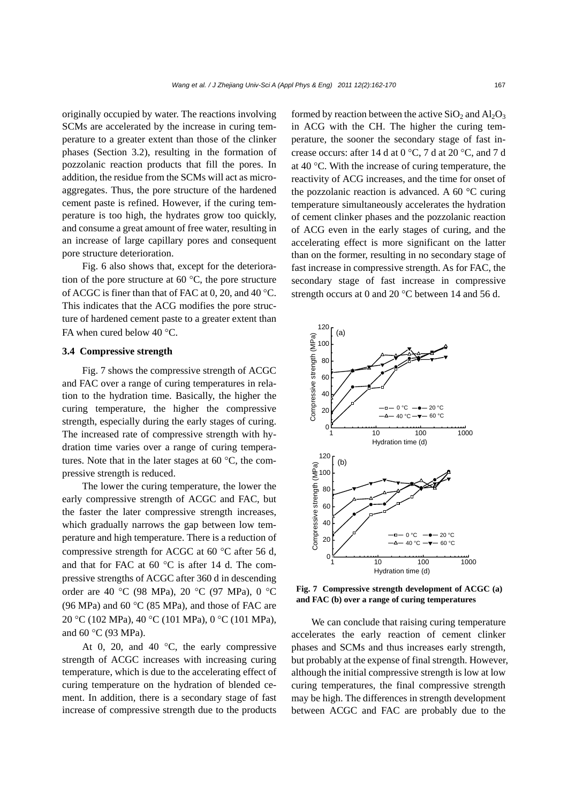originally occupied by water. The reactions involving SCMs are accelerated by the increase in curing temperature to a greater extent than those of the clinker phases (Section 3.2), resulting in the formation of pozzolanic reaction products that fill the pores. In addition, the residue from the SCMs will act as microaggregates. Thus, the pore structure of the hardened cement paste is refined. However, if the curing temperature is too high, the hydrates grow too quickly, and consume a great amount of free water, resulting in an increase of large capillary pores and consequent pore structure deterioration.

Fig. 6 also shows that, except for the deterioration of the pore structure at 60 $\degree$ C, the pore structure of ACGC is finer than that of FAC at 0, 20, and 40 °C. This indicates that the ACG modifies the pore structure of hardened cement paste to a greater extent than FA when cured below 40 °C.

## **3.4 Compressive strength**

Fig. 7 shows the compressive strength of ACGC and FAC over a range of curing temperatures in relation to the hydration time. Basically, the higher the curing temperature, the higher the compressive strength, especially during the early stages of curing. The increased rate of compressive strength with hydration time varies over a range of curing temperatures. Note that in the later stages at 60 °C, the compressive strength is reduced.

The lower the curing temperature, the lower the early compressive strength of ACGC and FAC, but the faster the later compressive strength increases, which gradually narrows the gap between low temperature and high temperature. There is a reduction of compressive strength for ACGC at 60 °C after 56 d, and that for FAC at 60 °C is after 14 d. The compressive strengths of ACGC after 360 d in descending order are 40 °C (98 MPa), 20 °C (97 MPa), 0 °C (96 MPa) and 60  $\rm{^{\circ}C}$  (85 MPa), and those of FAC are 20 °C (102 MPa), 40 °C (101 MPa), 0 °C (101 MPa), and 60 °C (93 MPa).

At 0, 20, and 40  $\degree$ C, the early compressive strength of ACGC increases with increasing curing temperature, which is due to the accelerating effect of curing temperature on the hydration of blended cement. In addition, there is a secondary stage of fast increase of compressive strength due to the products formed by reaction between the active  $SiO_2$  and  $Al_2O_3$ in ACG with the CH. The higher the curing temperature, the sooner the secondary stage of fast increase occurs: after 14 d at 0 °C, 7 d at 20 °C, and 7 d at 40 °C. With the increase of curing temperature, the reactivity of ACG increases, and the time for onset of the pozzolanic reaction is advanced. A 60 °C curing temperature simultaneously accelerates the hydration of cement clinker phases and the pozzolanic reaction of ACG even in the early stages of curing, and the accelerating effect is more significant on the latter than on the former, resulting in no secondary stage of fast increase in compressive strength. As for FAC, the secondary stage of fast increase in compressive strength occurs at 0 and 20 °C between 14 and 56 d.



**Fig. 7 Compressive strength development of ACGC (a) and FAC (b) over a range of curing temperatures** 

We can conclude that raising curing temperature accelerates the early reaction of cement clinker phases and SCMs and thus increases early strength, but probably at the expense of final strength. However, although the initial compressive strength is low at low curing temperatures, the final compressive strength may be high. The differences in strength development between ACGC and FAC are probably due to the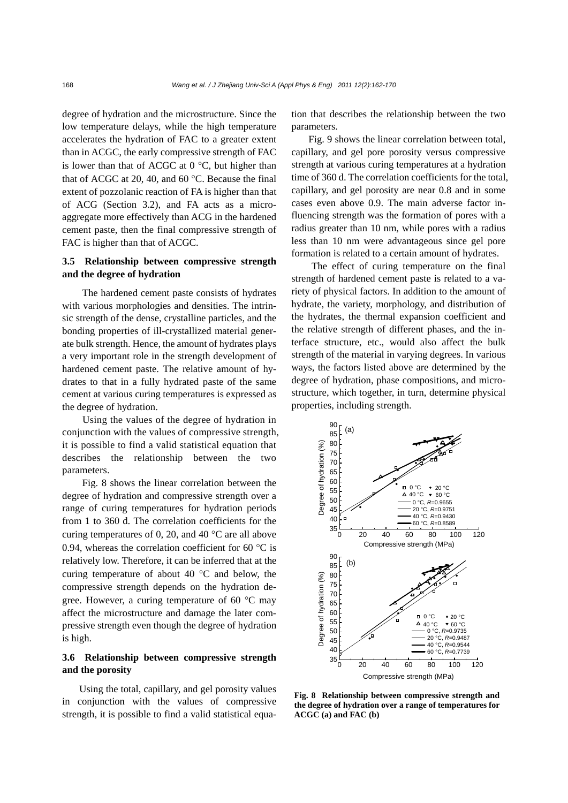degree of hydration and the microstructure. Since the low temperature delays, while the high temperature accelerates the hydration of FAC to a greater extent than in ACGC, the early compressive strength of FAC is lower than that of ACGC at  $0^{\circ}$ C, but higher than that of ACGC at 20, 40, and 60 °C. Because the final extent of pozzolanic reaction of FA is higher than that of ACG (Section 3.2), and FA acts as a microaggregate more effectively than ACG in the hardened cement paste, then the final compressive strength of FAC is higher than that of ACGC.

## **3.5 Relationship between compressive strength and the degree of hydration**

The hardened cement paste consists of hydrates with various morphologies and densities. The intrinsic strength of the dense, crystalline particles, and the bonding properties of ill-crystallized material generate bulk strength. Hence, the amount of hydrates plays a very important role in the strength development of hardened cement paste. The relative amount of hydrates to that in a fully hydrated paste of the same cement at various curing temperatures is expressed as the degree of hydration.

Using the values of the degree of hydration in conjunction with the values of compressive strength, it is possible to find a valid statistical equation that describes the relationship between the two parameters.

Fig. 8 shows the linear correlation between the degree of hydration and compressive strength over a range of curing temperatures for hydration periods from 1 to 360 d. The correlation coefficients for the curing temperatures of 0, 20, and 40  $^{\circ}$ C are all above 0.94, whereas the correlation coefficient for 60  $^{\circ}$ C is relatively low. Therefore, it can be inferred that at the curing temperature of about 40 °C and below, the compressive strength depends on the hydration degree. However, a curing temperature of 60 °C may affect the microstructure and damage the later compressive strength even though the degree of hydration is high.

## **3.6 Relationship between compressive strength and the porosity**

Using the total, capillary, and gel porosity values in conjunction with the values of compressive strength, it is possible to find a valid statistical equation that describes the relationship between the two parameters.

Fig. 9 shows the linear correlation between total, capillary, and gel pore porosity versus compressive strength at various curing temperatures at a hydration time of 360 d. The correlation coefficients for the total, capillary, and gel porosity are near 0.8 and in some cases even above 0.9. The main adverse factor influencing strength was the formation of pores with a radius greater than 10 nm, while pores with a radius less than 10 nm were advantageous since gel pore formation is related to a certain amount of hydrates.

The effect of curing temperature on the final strength of hardened cement paste is related to a variety of physical factors. In addition to the amount of hydrate, the variety, morphology, and distribution of the hydrates, the thermal expansion coefficient and the relative strength of different phases, and the interface structure, etc., would also affect the bulk strength of the material in varying degrees. In various ways, the factors listed above are determined by the degree of hydration, phase compositions, and microstructure, which together, in turn, determine physical properties, including strength.



**Fig. 8 Relationship between compressive strength and the degree of hydration over a range of temperatures for ACGC (a) and FAC (b)**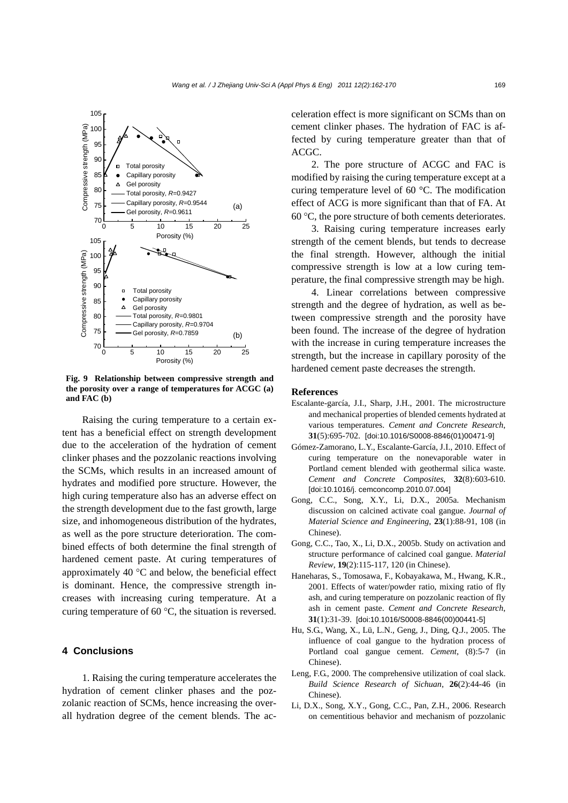

**Fig. 9 Relationship between compressive strength and the porosity over a range of temperatures for ACGC (a) and FAC (b)** 

Raising the curing temperature to a certain extent has a beneficial effect on strength development due to the acceleration of the hydration of cement clinker phases and the pozzolanic reactions involving the SCMs, which results in an increased amount of hydrates and modified pore structure. However, the high curing temperature also has an adverse effect on the strength development due to the fast growth, large size, and inhomogeneous distribution of the hydrates, as well as the pore structure deterioration. The combined effects of both determine the final strength of hardened cement paste. At curing temperatures of approximately 40 °C and below, the beneficial effect is dominant. Hence, the compressive strength increases with increasing curing temperature. At a curing temperature of 60 °C, the situation is reversed.

## **4 Conclusions**

1. Raising the curing temperature accelerates the hydration of cement clinker phases and the pozzolanic reaction of SCMs, hence increasing the overall hydration degree of the cement blends. The acceleration effect is more significant on SCMs than on cement clinker phases. The hydration of FAC is affected by curing temperature greater than that of ACGC.

2. The pore structure of ACGC and FAC is modified by raising the curing temperature except at a curing temperature level of 60 °C. The modification effect of ACG is more significant than that of FA. At 60 °C, the pore structure of both cements deteriorates.

3. Raising curing temperature increases early strength of the cement blends, but tends to decrease the final strength. However, although the initial compressive strength is low at a low curing temperature, the final compressive strength may be high.

4. Linear correlations between compressive strength and the degree of hydration, as well as between compressive strength and the porosity have been found. The increase of the degree of hydration with the increase in curing temperature increases the strength, but the increase in capillary porosity of the hardened cement paste decreases the strength.

#### **References**

- Escalante-garcía, J.I., Sharp, J.H., 2001. The microstructure and mechanical properties of blended cements hydrated at various temperatures. *Cement and Concrete Research*, **31**(5):695-702. [doi:10.1016/S0008-8846(01)00471-9]
- Gómez-Zamorano, L.Y., Escalante-García, J.I., 2010. Effect of curing temperature on the nonevaporable water in Portland cement blended with geothermal silica waste. *Cement and Concrete Composites*, **32**(8):603-610. [doi:10.1016/j. cemconcomp.2010.07.004]
- Gong, C.C., Song, X.Y., Li, D.X., 2005a. Mechanism discussion on calcined activate coal gangue. *Journal of Material Science and Engineering*, **23**(1):88-91, 108 (in Chinese).
- Gong, C.C., Tao, X., Li, D.X., 2005b. Study on activation and structure performance of calcined coal gangue. *Material Review*, **19**(2):115-117, 120 (in Chinese).
- Haneharas, S., Tomosawa, F., Kobayakawa, M., Hwang, K.R., 2001. Effects of water/powder ratio, mixing ratio of fly ash, and curing temperature on pozzolanic reaction of fly ash in cement paste. *Cement and Concrete Research*, **31**(1):31-39. [doi:10.1016/S0008-8846(00)00441-5]
- Hu, S.G., Wang, X., Lü, L.N., Geng, J., Ding, Q.J., 2005. The influence of coal gangue to the hydration process of Portland coal gangue cement. *Cement*, (8):5-7 (in Chinese).
- Leng, F.G., 2000. The comprehensive utilization of coal slack. *Build Science Research of Sichuan*, **26**(2):44-46 (in Chinese).
- Li, D.X., Song, X.Y., Gong, C.C., Pan, Z.H., 2006. Research on cementitious behavior and mechanism of pozzolanic